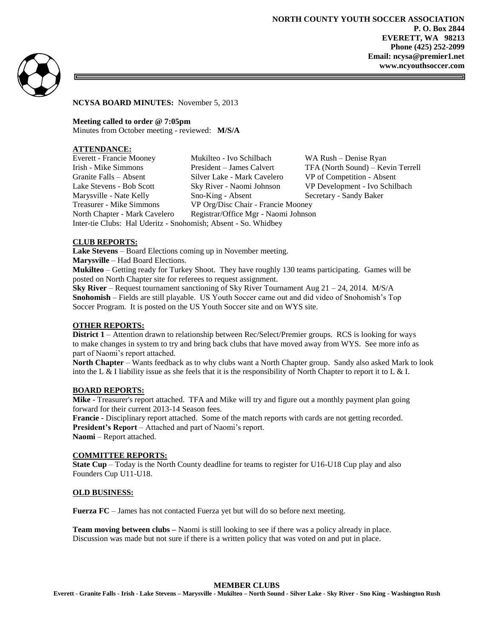**NORTH COUNTY YOUTH SOCCER ASSOCIATION P. O. Box 2844 EVERETT, WA 98213 Phone (425) 252-2099 Email: ncysa@premier1.net www.ncyouthsoccer.com**



**NCYSA BOARD MINUTES:** November 5, 2013

**Meeting called to order @ 7:05pm** Minutes from October meeting - reviewed: **M/S/A**

## **ATTENDANCE:**

| Everett - Francie Mooney                                       | Mukilteo - Ivo Schilbach             | WA Rush – Denise Ryan             |
|----------------------------------------------------------------|--------------------------------------|-----------------------------------|
| Irish - Mike Simmons                                           | President – James Calvert            | TFA (North Sound) – Kevin Terrell |
| Granite Falls – Absent                                         | Silver Lake - Mark Cavelero          | VP of Competition - Absent        |
| Lake Stevens - Bob Scott                                       | Sky River - Naomi Johnson            | VP Development - Ivo Schilbach    |
| Marysville - Nate Kelly                                        | Sno-King - Absent                    | Secretary - Sandy Baker           |
| Treasurer - Mike Simmons                                       | VP Org/Disc Chair - Francie Mooney   |                                   |
| North Chapter - Mark Cavelero                                  | Registrar/Office Mgr - Naomi Johnson |                                   |
| Inter-tie Clubs: Hal Uderitz - Snohomish; Absent - So. Whidbey |                                      |                                   |

# **CLUB REPORTS:**

**Lake Stevens** – Board Elections coming up in November meeting. **Marysville** – Had Board Elections. **Mukilteo** – Getting ready for Turkey Shoot. They have roughly 130 teams participating. Games will be

posted on North Chapter site for referees to request assignment.

**Sky River** – Request tournament sanctioning of Sky River Tournament Aug 21 – 24, 2014. M/S/A **Snohomish** – Fields are still playable. US Youth Soccer came out and did video of Snohomish's Top Soccer Program. It is posted on the US Youth Soccer site and on WYS site.

### **OTHER REPORTS:**

**District 1** – Attention drawn to relationship between Rec/Select/Premier groups. RCS is looking for ways to make changes in system to try and bring back clubs that have moved away from WYS. See more info as part of Naomi's report attached.

**North Chapter** – Wants feedback as to why clubs want a North Chapter group. Sandy also asked Mark to look into the L & I liability issue as she feels that it is the responsibility of North Chapter to report it to L & I.

### **BOARD REPORTS:**

**Mike** - Treasurer's report attached. TFA and Mike will try and figure out a monthly payment plan going forward for their current 2013-14 Season fees.

**Francie -** Disciplinary report attached. Some of the match reports with cards are not getting recorded. **President's Report** – Attached and part of Naomi's report.

**Naomi** – Report attached.

### **COMMITTEE REPORTS:**

**State Cup** – Today is the North County deadline for teams to register for U16-U18 Cup play and also Founders Cup U11-U18.

### **OLD BUSINESS:**

**Fuerza FC** – James has not contacted Fuerza yet but will do so before next meeting.

**Team moving between clubs –** Naomi is still looking to see if there was a policy already in place. Discussion was made but not sure if there is a written policy that was voted on and put in place.

**MEMBER CLUBS**